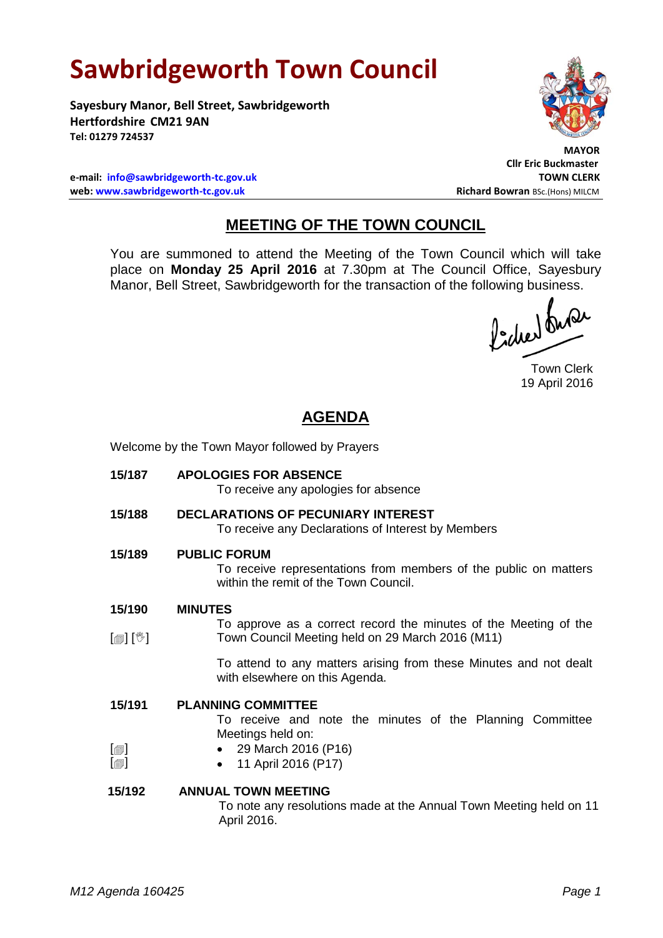# **Sawbridgeworth Town Council**

**Sayesbury Manor, Bell Street, Sawbridgeworth Hertfordshire CM21 9AN Tel: 01279 724537**

 **MAYOR**

**Cllr Eric Buckmaster**

**e-mail: [info@sawbridgeworth-tc.gov.uk](mailto:info@sawbridgeworth-tc.gov.uk) TOWN CLERK web: www.sawbridgeworth-tc.gov.uk Richard Bowran BSc.(Hons) MILCM Richard Bowran BSc.(Hons) MILCM** 

# **MEETING OF THE TOWN COUNCIL**

You are summoned to attend the Meeting of the Town Council which will take place on **Monday 25 April 2016** at 7.30pm at The Council Office, Sayesbury Manor, Bell Street, Sawbridgeworth for the transaction of the following business.<br>  $\int_0^1$ ,  $\int_0^1$ ,  $\int_0^1$ ,  $\int_0^1$ ,  $\int_0^1$ ,  $\int_0^1$ ,  $\int_0^1$ ,  $\int_0^1$ ,  $\int_0^1$ ,  $\int_0^1$ ,  $\int_0^1$ ,  $\int_0^1$ ,  $\int_0^1$ ,  $\int_0^1$ 

Town Clerk 19 April 2016

## **AGENDA**

Welcome by the Town Mayor followed by Prayers

**15/187 APOLOGIES FOR ABSENCE**

To receive any apologies for absence

- **15/188 DECLARATIONS OF PECUNIARY INTEREST** To receive any Declarations of Interest by Members
- **15/189 PUBLIC FORUM**

To receive representations from members of the public on matters within the remit of the Town Council.

- **15/190 MINUTES**
- [創] [V] To approve as a correct record the minutes of the Meeting of the Town Council Meeting held on 29 March 2016 (M11)

To attend to any matters arising from these Minutes and not dealt with elsewhere on this Agenda.

**15/191**  $[\blacksquare]$  $\lceil$  $\blacksquare$ **PLANNING COMMITTEE** To receive and note the minutes of the Planning Committee Meetings held on: 29 March 2016 (P16) • 11 April 2016 (P17)

#### **15/192 ANNUAL TOWN MEETING**

To note any resolutions made at the Annual Town Meeting held on 11 April 2016.